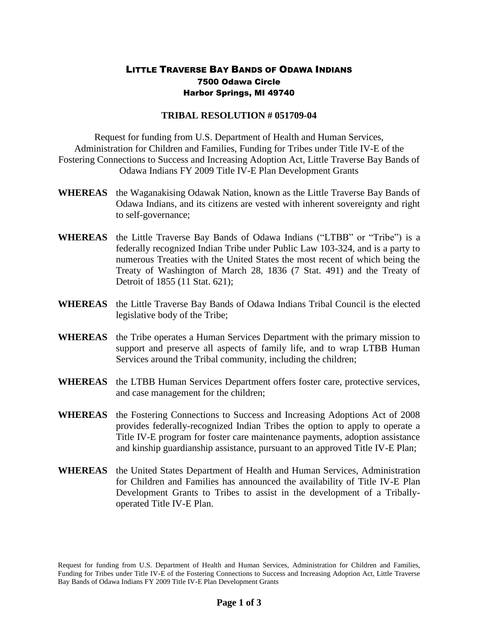## LITTLE TRAVERSE BAY BANDS OF ODAWA INDIANS 7500 Odawa Circle Harbor Springs, MI 49740

## **TRIBAL RESOLUTION # 051709-04**

Request for funding from U.S. Department of Health and Human Services, Administration for Children and Families, Funding for Tribes under Title IV-E of the Fostering Connections to Success and Increasing Adoption Act, Little Traverse Bay Bands of Odawa Indians FY 2009 Title IV-E Plan Development Grants

- **WHEREAS** the Waganakising Odawak Nation, known as the Little Traverse Bay Bands of Odawa Indians, and its citizens are vested with inherent sovereignty and right to self-governance;
- **WHEREAS** the Little Traverse Bay Bands of Odawa Indians ("LTBB" or "Tribe") is a federally recognized Indian Tribe under Public Law 103-324, and is a party to numerous Treaties with the United States the most recent of which being the Treaty of Washington of March 28, 1836 (7 Stat. 491) and the Treaty of Detroit of 1855 (11 Stat. 621);
- **WHEREAS** the Little Traverse Bay Bands of Odawa Indians Tribal Council is the elected legislative body of the Tribe;
- **WHEREAS** the Tribe operates a Human Services Department with the primary mission to support and preserve all aspects of family life, and to wrap LTBB Human Services around the Tribal community, including the children;
- **WHEREAS** the LTBB Human Services Department offers foster care, protective services, and case management for the children;
- **WHEREAS** the Fostering Connections to Success and Increasing Adoptions Act of 2008 provides federally-recognized Indian Tribes the option to apply to operate a Title IV-E program for foster care maintenance payments, adoption assistance and kinship guardianship assistance, pursuant to an approved Title IV-E Plan;
- **WHEREAS** the United States Department of Health and Human Services, Administration for Children and Families has announced the availability of Title IV-E Plan Development Grants to Tribes to assist in the development of a Triballyoperated Title IV-E Plan.

Request for funding from U.S. Department of Health and Human Services, Administration for Children and Families, Funding for Tribes under Title IV-E of the Fostering Connections to Success and Increasing Adoption Act, Little Traverse Bay Bands of Odawa Indians FY 2009 Title IV-E Plan Development Grants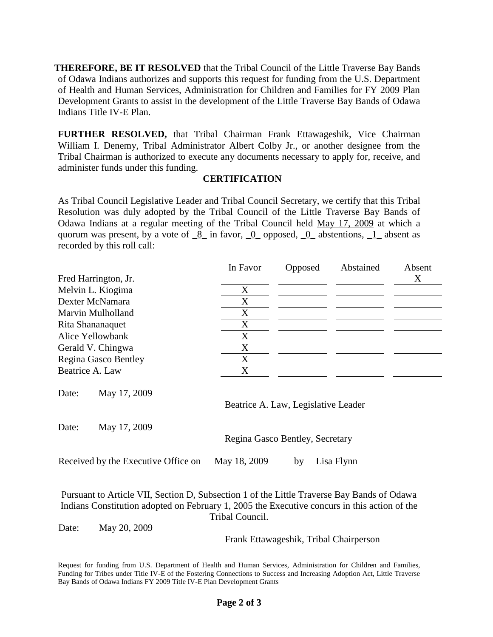**THEREFORE, BE IT RESOLVED** that the Tribal Council of the Little Traverse Bay Bands of Odawa Indians authorizes and supports this request for funding from the U.S. Department of Health and Human Services, Administration for Children and Families for FY 2009 Plan Development Grants to assist in the development of the Little Traverse Bay Bands of Odawa Indians Title IV-E Plan.

**FURTHER RESOLVED,** that Tribal Chairman Frank Ettawageshik, Vice Chairman William I. Denemy, Tribal Administrator Albert Colby Jr., or another designee from the Tribal Chairman is authorized to execute any documents necessary to apply for, receive, and administer funds under this funding.

## **CERTIFICATION**

As Tribal Council Legislative Leader and Tribal Council Secretary, we certify that this Tribal Resolution was duly adopted by the Tribal Council of the Little Traverse Bay Bands of Odawa Indians at a regular meeting of the Tribal Council held May 17, 2009 at which a quorum was present, by a vote of  $\underline{8}$  in favor,  $\underline{0}$  opposed,  $\underline{0}$  abstentions,  $\underline{1}$  absent as recorded by this roll call:

|                                     | In Favor     | Opposed                             | Abstained  | Absent |  |
|-------------------------------------|--------------|-------------------------------------|------------|--------|--|
| Fred Harrington, Jr.                |              |                                     |            | X      |  |
| Melvin L. Kiogima                   | X            |                                     |            |        |  |
| Dexter McNamara                     | X            |                                     |            |        |  |
| Marvin Mulholland                   | X            |                                     |            |        |  |
| Rita Shananaquet                    | X            |                                     |            |        |  |
| Alice Yellowbank                    | X            |                                     |            |        |  |
| Gerald V. Chingwa                   | X            |                                     |            |        |  |
| Regina Gasco Bentley                | X            |                                     |            |        |  |
| Beatrice A. Law                     | X            |                                     |            |        |  |
| Date:<br>May 17, 2009               |              |                                     |            |        |  |
|                                     |              | Beatrice A. Law, Legislative Leader |            |        |  |
| Date:<br>May 17, 2009               |              |                                     |            |        |  |
|                                     |              | Regina Gasco Bentley, Secretary     |            |        |  |
| Received by the Executive Office on | May 18, 2009 | by                                  | Lisa Flynn |        |  |
|                                     |              |                                     |            |        |  |

Pursuant to Article VII, Section D, Subsection 1 of the Little Traverse Bay Bands of Odawa Indians Constitution adopted on February 1, 2005 the Executive concurs in this action of the Tribal Council.

Date: May 20, 2009

Frank Ettawageshik, Tribal Chairperson

Request for funding from U.S. Department of Health and Human Services, Administration for Children and Families, Funding for Tribes under Title IV-E of the Fostering Connections to Success and Increasing Adoption Act, Little Traverse Bay Bands of Odawa Indians FY 2009 Title IV-E Plan Development Grants